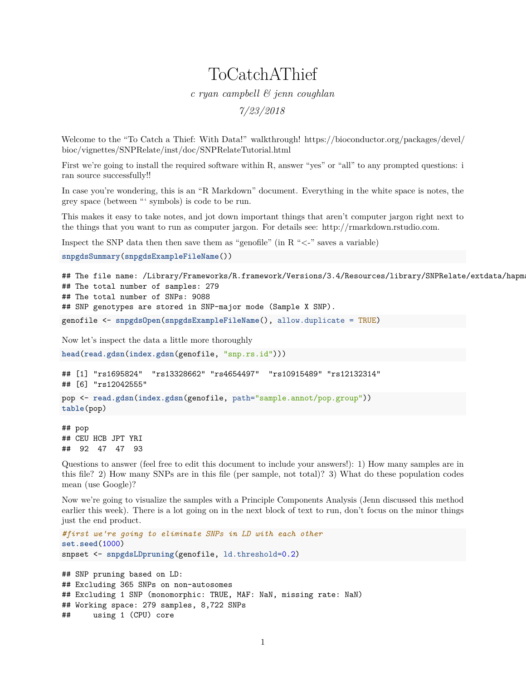## ToCatchAThief

*c ryan campbell & jenn coughlan*

*7/23/2018*

Welcome to the "To Catch a Thief: With Data!" walkthrough! [https://bioconductor.org/packages/devel/](https://bioconductor.org/packages/devel/bioc/vignettes/SNPRelate/inst/doc/SNPRelateTutorial.html) [bioc/vignettes/SNPRelate/inst/doc/SNPRelateTutorial.html](https://bioconductor.org/packages/devel/bioc/vignettes/SNPRelate/inst/doc/SNPRelateTutorial.html)

First we're going to install the required software within R, answer "yes" or "all" to any prompted questions: i ran source successfully!!

In case you're wondering, this is an "R Markdown" document. Everything in the white space is notes, the grey space (between "' symbols) is code to be run.

This makes it easy to take notes, and jot down important things that aren't computer jargon right next to the things that you want to run as computer jargon. For details see: [http://rmarkdown.rstudio.com.](http://rmarkdown.rstudio.com)

Inspect the SNP data then then save them as "genofile" (in  $R \ll 1$ " saves a variable)

```
snpgdsSummary(snpgdsExampleFileName())
```

```
## The file name: /Library/Frameworks/R.framework/Versions/3.4/Resources/library/SNPRelate/extdata/hapm
## The total number of samples: 279
## The total number of SNPs: 9088
## SNP genotypes are stored in SNP-major mode (Sample X SNP).
genofile <- snpgdsOpen(snpgdsExampleFileName(), allow.duplicate = TRUE)
```
Now let's inspect the data a little more thoroughly

**head**(**read.gdsn**(**index.gdsn**(genofile, "snp.rs.id")))

## [1] "rs1695824" "rs13328662" "rs4654497" "rs10915489" "rs12132314"

## [6] "rs12042555"

pop <- **read.gdsn**(**index.gdsn**(genofile, path="sample.annot/pop.group")) **table**(pop)

## pop ## CEU HCB JPT YRI ## 92 47 47 93

Questions to answer (feel free to edit this document to include your answers!): 1) How many samples are in this file? 2) How many SNPs are in this file (per sample, not total)? 3) What do these population codes mean (use Google)?

Now we're going to visualize the samples with a Principle Components Analysis (Jenn discussed this method earlier this week). There is a lot going on in the next block of text to run, don't focus on the minor things just the end product.

```
#first we're going to eliminate SNPs in LD with each other
set.seed(1000)
snpset <- snpgdsLDpruning(genofile, ld.threshold=0.2)
```
## SNP pruning based on LD: ## Excluding 365 SNPs on non-autosomes ## Excluding 1 SNP (monomorphic: TRUE, MAF: NaN, missing rate: NaN) ## Working space: 279 samples, 8,722 SNPs ## using 1 (CPU) core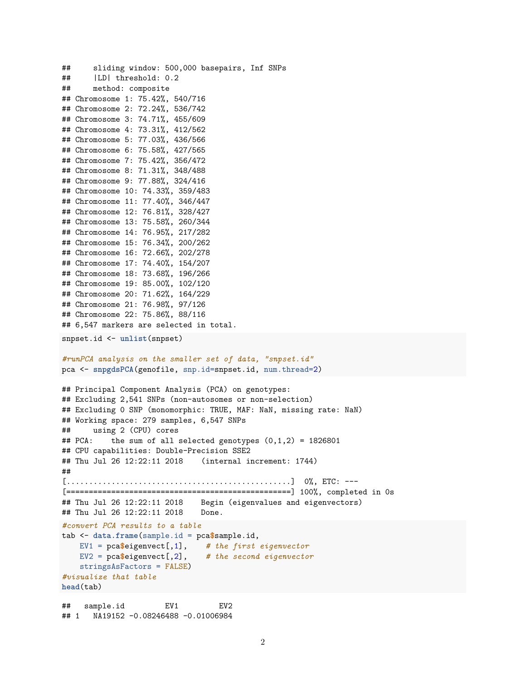```
## sliding window: 500,000 basepairs, Inf SNPs
## |LD| threshold: 0.2
## method: composite
## Chromosome 1: 75.42%, 540/716
## Chromosome 2: 72.24%, 536/742
## Chromosome 3: 74.71%, 455/609
## Chromosome 4: 73.31%, 412/562
## Chromosome 5: 77.03%, 436/566
## Chromosome 6: 75.58%, 427/565
## Chromosome 7: 75.42%, 356/472
## Chromosome 8: 71.31%, 348/488
## Chromosome 9: 77.88%, 324/416
## Chromosome 10: 74.33%, 359/483
## Chromosome 11: 77.40%, 346/447
## Chromosome 12: 76.81%, 328/427
## Chromosome 13: 75.58%, 260/344
## Chromosome 14: 76.95%, 217/282
## Chromosome 15: 76.34%, 200/262
## Chromosome 16: 72.66%, 202/278
## Chromosome 17: 74.40%, 154/207
## Chromosome 18: 73.68%, 196/266
## Chromosome 19: 85.00%, 102/120
## Chromosome 20: 71.62%, 164/229
## Chromosome 21: 76.98%, 97/126
## Chromosome 22: 75.86%, 88/116
## 6,547 markers are selected in total.
snpset.id <- unlist(snpset)
#runPCA analysis on the smaller set of data, "snpset.id"
pca <- snpgdsPCA(genofile, snp.id=snpset.id, num.thread=2)
## Principal Component Analysis (PCA) on genotypes:
## Excluding 2,541 SNPs (non-autosomes or non-selection)
## Excluding 0 SNP (monomorphic: TRUE, MAF: NaN, missing rate: NaN)
## Working space: 279 samples, 6,547 SNPs
## using 2 (CPU) cores
## PCA: the sum of all selected genotypes (0,1,2) = 1826801## CPU capabilities: Double-Precision SSE2
## Thu Jul 26 12:22:11 2018 (internal increment: 1744)
##
[..................................................] 0%, ETC: ---
[==================================================] 100%, completed in 0s
## Thu Jul 26 12:22:11 2018 Begin (eigenvalues and eigenvectors)
## Thu Jul 26 12:22:11 2018 Done.
#convert PCA results to a table
tab <- data.frame(sample.id = pca$sample.id,
   EV1 = pca$eigenvect[,1], # the first eigenvector
   EV2 = pca$eigenvect[,2], # the second eigenvector
   stringsAsFactors = FALSE)
#visualize that table
head(tab)
## sample.id EV1 EV2
```

```
## 1 NA19152 -0.08246488 -0.01006984
```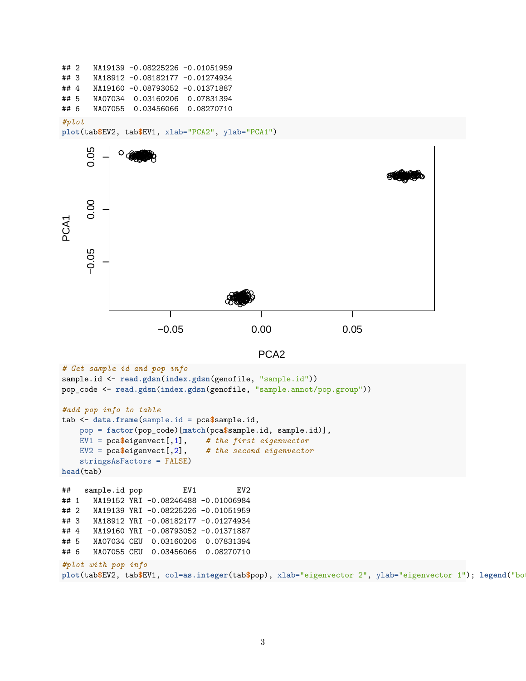```
## 2 NA19139 -0.08225226 -0.01051959
## 3 NA18912 -0.08182177 -0.01274934
## 4 NA19160 -0.08793052 -0.01371887
## 5 NA07034 0.03160206 0.07831394
## 6 NA07055 0.03456066 0.08270710
#plot
```

```
plot(tab$EV2, tab$EV1, xlab="PCA2", ylab="PCA1")
```


```
PCA2
```

```
# Get sample id and pop info
sample.id <- read.gdsn(index.gdsn(genofile, "sample.id"))
pop_code <- read.gdsn(index.gdsn(genofile, "sample.annot/pop.group"))
#add pop info to table
tab <- data.frame(sample.id = pca$sample.id,
   pop = factor(pop_code)[match(pca$sample.id, sample.id)],
   EV1 = pca$eigenvect[,1], # the first eigenvector
   EV2 = pca$eigenvect[,2], # the second eigenvector
   stringsAsFactors = FALSE)
head(tab)
## sample.id pop EV1 EV2
## 1 NA19152 YRI -0.08246488 -0.01006984
## 2 NA19139 YRI -0.08225226 -0.01051959
## 3 NA18912 YRI -0.08182177 -0.01274934
## 4 NA19160 YRI -0.08793052 -0.01371887
## 5 NA07034 CEU 0.03160206 0.07831394
## 6 NA07055 CEU 0.03456066 0.08270710
#plot with pop info
plot(tab$EV2, tab$EV1, col=as.integer(tab$pop), xlab="eigenvector 2", ylab="eigenvector 1"); legend("bo
```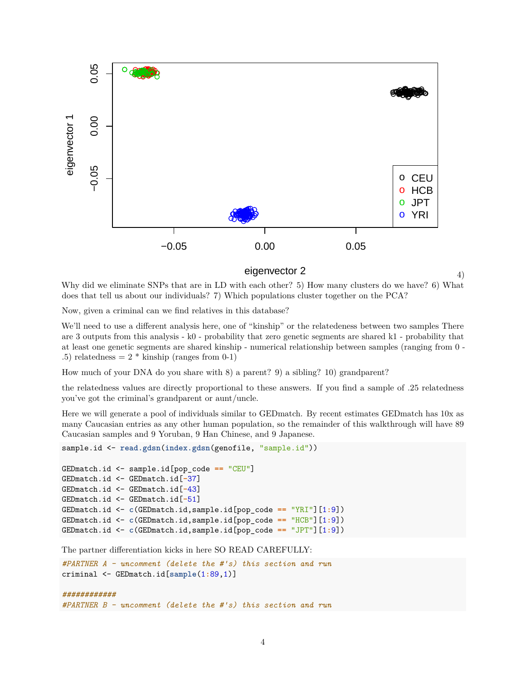

eigenvector 2

4)

Why did we eliminate SNPs that are in LD with each other? 5) How many clusters do we have? 6) What does that tell us about our individuals? 7) Which populations cluster together on the PCA?

Now, given a criminal can we find relatives in this database?

We'll need to use a different analysis here, one of "kinship" or the relatedeness between two samples There are 3 outputs from this analysis - k0 - probability that zero genetic segments are shared k1 - probability that at least one genetic segments are shared kinship - numerical relationship between samples (ranging from 0 - .5) relatedness  $= 2 *$  kinship (ranges from 0-1)

How much of your DNA do you share with 8) a parent? 9) a sibling? 10) grandparent?

the relatedness values are directly proportional to these answers. If you find a sample of .25 relatedness you've got the criminal's grandparent or aunt/uncle.

Here we will generate a pool of individuals similar to GEDmatch. By recent estimates GEDmatch has 10x as many Caucasian entries as any other human population, so the remainder of this walkthrough will have 89 Caucasian samples and 9 Yoruban, 9 Han Chinese, and 9 Japanese.

```
sample.id <- read.gdsn(index.gdsn(genofile, "sample.id"))
```

```
GEDmatch.id <- sample.id[pop_code == "CEU"]
GEDmatch.id <- GEDmatch.id[-37]
GEDmatch.id <- GEDmatch.id[-43]
GEDmatch.id <- GEDmatch.id[-51]
GEDmatch.id <- c(GEDmatch.id,sample.id[pop_code == "YRI"][1:9])
GEDmatch.id <- c(GEDmatch.id,sample.id[pop_code == "HCB"][1:9])
GEDmatch.id <- c(GEDmatch.id,sample.id[pop_code == "JPT"][1:9])
```
The partner differentiation kicks in here SO READ CAREFULLY:

```
#PARTNER A - uncomment (delete the #'s) this section and run
criminal <- GEDmatch.id[sample(1:89,1)]
############
```

```
#PARTNER B - uncomment (delete the #'s) this section and run
```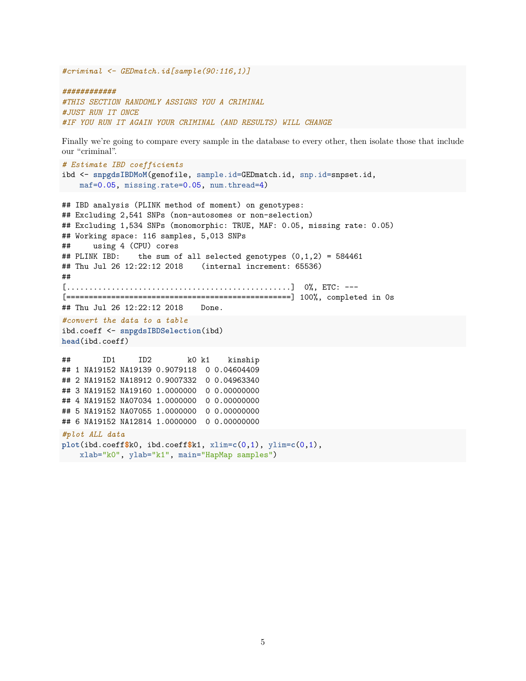*#criminal <- GEDmatch.id[sample(90:116,1)]*

*############ #THIS SECTION RANDOMLY ASSIGNS YOU A CRIMINAL #JUST RUN IT ONCE #IF YOU RUN IT AGAIN YOUR CRIMINAL (AND RESULTS) WILL CHANGE*

Finally we're going to compare every sample in the database to every other, then isolate those that include our "criminal".

```
# Estimate IBD coefficients
ibd <- snpgdsIBDMoM(genofile, sample.id=GEDmatch.id, snp.id=snpset.id,
   maf=0.05, missing.rate=0.05, num.thread=4)
```

```
## IBD analysis (PLINK method of moment) on genotypes:
## Excluding 2,541 SNPs (non-autosomes or non-selection)
## Excluding 1,534 SNPs (monomorphic: TRUE, MAF: 0.05, missing rate: 0.05)
## Working space: 116 samples, 5,013 SNPs
## using 4 (CPU) cores
## PLINK IBD: the sum of all selected genotypes (0,1,2) = 584461## Thu Jul 26 12:22:12 2018 (internal increment: 65536)
##
[................................................] 0%, ETC: ---
[==================================================] 100%, completed in 0s
## Thu Jul 26 12:22:12 2018    Done.
#convert the data to a table
ibd.coeff <- snpgdsIBDSelection(ibd)
head(ibd.coeff)
## ID1 ID2 k0 k1 kinship
## 1 NA19152 NA19139 0.9079118 0 0.04604409
## 2 NA19152 NA18912 0.9007332 0 0.04963340
## 3 NA19152 NA19160 1.0000000 0 0.00000000
## 4 NA19152 NA07034 1.0000000 0 0.00000000
## 5 NA19152 NA07055 1.0000000 0 0.00000000
## 6 NA19152 NA12814 1.0000000 0 0.00000000
#plot ALL data
plot(ibd.coeff$k0, ibd.coeff$k1, xlim=c(0,1), ylim=c(0,1),
   xlab="k0", ylab="k1", main="HapMap samples")
```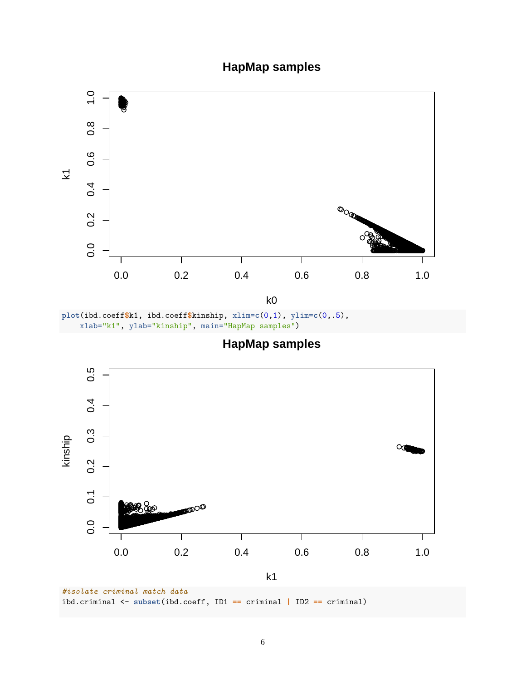## **HapMap samples**



k0

**plot**(ibd.coeff**\$**k1, ibd.coeff**\$**kinship, xlim=**c**(0,1), ylim=**c**(0,.5), xlab="k1", ylab="kinship", main="HapMap samples")

**HapMap samples**



ibd.criminal <- **subset**(ibd.coeff, ID1 **==** criminal **|** ID2 **==** criminal)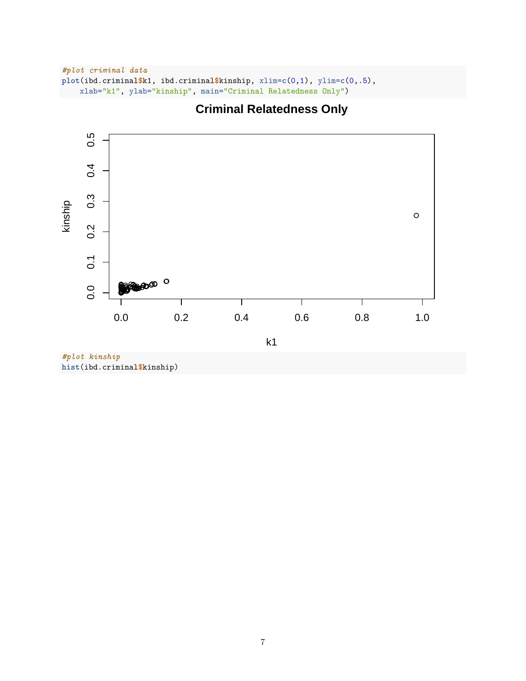```
#plot criminal data
plot(ibd.criminal$k1, ibd.criminal$kinship, xlim=c(0,1), ylim=c(0,.5),
   xlab="k1", ylab="kinship", main="Criminal Relatedness Only")
```


## **Criminal Relatedness Only**

*#plot kinship* **hist**(ibd.criminal**\$**kinship)